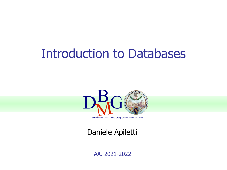#### Introduction to Databases



Daniele Apiletti

AA. 2021-2022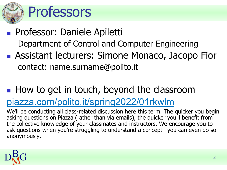

### Professors

- Professor: Daniele Apiletti Department of Control and Computer Engineering
- Assistant lecturers: Simone Monaco, Jacopo Fior contact: name.surname@polito.it

### ■ How to get in touch, beyond the classroom

#### [piazza.com/polito.it/spring2022/01rkwlm](https://piazza.com/polito.it/spring2022/01rkwlm)

We'll be conducting all class-related discussion here this term. The quicker you begin asking questions on Piazza (rather than via emails), the quicker you'll benefit from the collective knowledge of your classmates and instructors. We encourage you to ask questions when you're struggling to understand a concept—you can even do so anonymously.

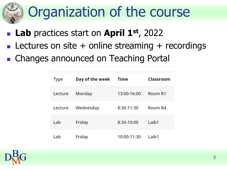# Organization of the course

- **Lab** practices start on **April 1**<sup>st</sup>, 2022
- **Lectures on site + online streaming + recordings**
- Changes announced on Teaching Portal

| <b>Type</b> | Day of the week | Time        | Classroom |
|-------------|-----------------|-------------|-----------|
| Lecture     | Monday          | 13:00-16:00 | Room R1   |
| Lecture     | Wednesday       | 8:30-11:30  | Room R4   |
| Lab         | Friday          | 8:30-10:00  | Laib1     |
| Lab         | Friday          | 10:00-11:30 | Laib1     |

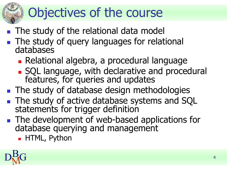# Objectives of the course

- The study of the relational data model
- The study of query languages for relational databases
	- Relational algebra, a procedural language
	- SQL language, with declarative and procedural features, for queries and updates
- The study of database design methodologies
- The study of active database systems and SQL statements for trigger definition
- The development of web-based applications for database querying and management
	- HTML, Python

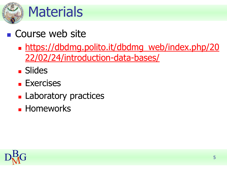

#### ■ Course web site

- **I** [https://dbdmg.polito.it/dbdmg\\_web/index.php/20](https://dbdmg.polito.it/dbdmg_web/index.php/2022/02/24/introduction-data-bases/) 22/02/24/introduction-data-bases/
- Slides
- Exercises
- Laboratory practices
- Homeworks

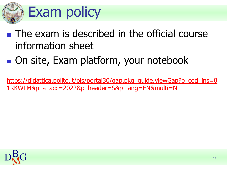

- $\blacksquare$  The exam is described in the official course information sheet
- On site, Exam platform, your notebook

[https://didattica.polito.it/pls/portal30/gap.pkg\\_guide.viewGap?p\\_cod\\_ins=0](https://didattica.polito.it/pls/portal30/gap.pkg_guide.viewGap?p_cod_ins=01RKWLM&p_a_acc=2022&p_header=S&p_lang=EN&multi=N) 1RKWLM&p\_a\_acc=2022&p\_header=S&p\_lang=EN&multi=N

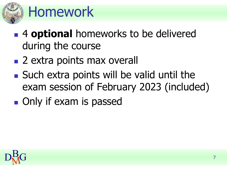

## Homework

- 4 **optional** homeworks to be delivered during the course
- 2 extra points max overall
- Such extra points will be valid until the exam session of February 2023 (included)
- Only if exam is passed

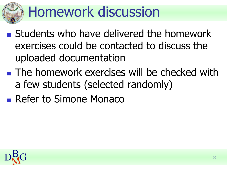# Homework discussion

- Students who have delivered the homework exercises could be contacted to discuss the uploaded documentation
- The homework exercises will be checked with a few students (selected randomly)
- Refer to Simone Monaco